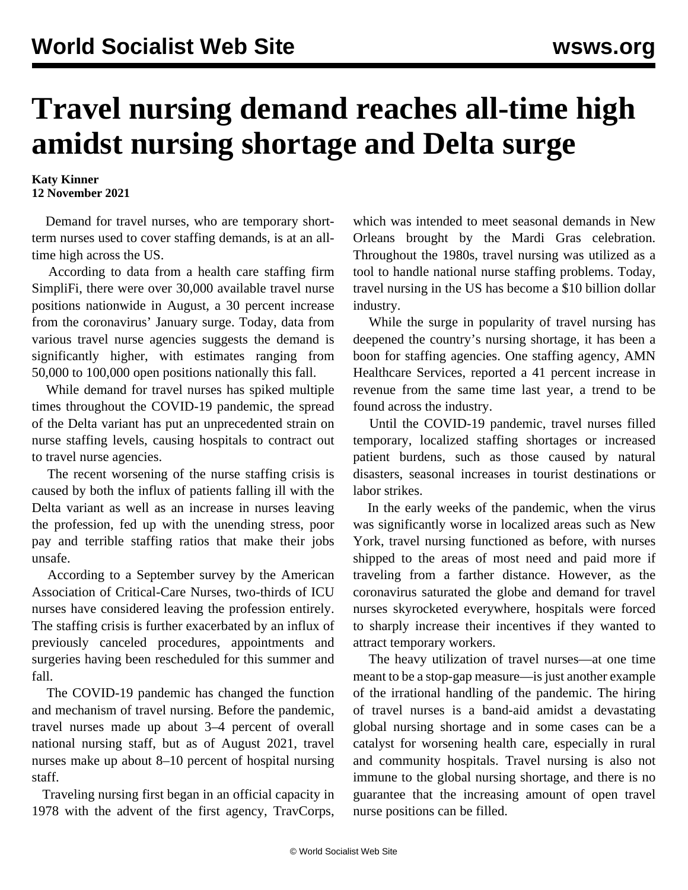## **Travel nursing demand reaches all-time high amidst nursing shortage and Delta surge**

**Katy Kinner 12 November 2021**

 Demand for travel nurses, who are temporary shortterm nurses used to cover staffing demands, is at an alltime high across the US.

 According to data from a health care staffing firm SimpliFi, there were over 30,000 available travel nurse positions nationwide in August, a 30 percent increase from the coronavirus' January surge. Today, data from various travel nurse agencies suggests the demand is significantly higher, with estimates ranging from 50,000 to 100,000 open positions nationally this fall.

 While demand for travel nurses has spiked multiple times throughout the COVID-19 pandemic, the spread of the Delta variant has put an unprecedented strain on nurse staffing levels, causing hospitals to contract out to travel nurse agencies.

 The recent worsening of the nurse staffing crisis is caused by both the influx of patients falling ill with the Delta variant as well as an increase in nurses leaving the profession, fed up with the unending stress, poor pay and terrible staffing ratios that make their jobs unsafe.

 According to a September [survey](https://www.hearusout.com/) by the American Association of Critical-Care Nurses, two-thirds of ICU nurses have considered leaving the profession entirely. The staffing crisis is further exacerbated by an influx of previously canceled procedures, appointments and surgeries having been rescheduled for this summer and fall.

 The COVID-19 pandemic has changed the function and mechanism of travel nursing. Before the pandemic, travel nurses made up about 3–4 percent of overall national nursing staff, but as of August 2021, travel nurses make up about 8–10 percent of hospital nursing staff.

 Traveling nursing first began in an official capacity in 1978 with the advent of the first agency, TravCorps,

which was intended to meet seasonal demands in New Orleans brought by the Mardi Gras celebration. Throughout the 1980s, travel nursing was utilized as a tool to handle national nurse staffing problems. Today, travel nursing in the US has become a \$10 billion dollar industry.

 While the surge in popularity of travel nursing has deepened the country's nursing shortage, it has been a boon for staffing agencies. One staffing agency, AMN Healthcare Services, reported a 41 percent increase in revenue from the same time last year, a trend to be found across the industry.

 Until the COVID-19 pandemic, travel nurses filled temporary, localized staffing shortages or increased patient burdens, such as those caused by natural disasters, seasonal increases in tourist destinations or labor strikes.

 In the early weeks of the pandemic, when the virus was significantly worse in localized areas such as New York, travel nursing functioned as before, with nurses shipped to the areas of most need and paid more if traveling from a farther distance. However, as the coronavirus saturated the globe and demand for travel nurses skyrocketed everywhere, hospitals were forced to sharply increase their incentives if they wanted to attract temporary workers.

 The heavy utilization of travel nurses—at one time meant to be a stop-gap measure—is just another example of the irrational handling of the pandemic. The hiring of travel nurses is a band-aid amidst a devastating global nursing shortage and in some cases can be a catalyst for worsening health care, especially in rural and community hospitals. Travel nursing is also not immune to the global nursing shortage, and there is no guarantee that the increasing amount of open travel nurse positions can be filled.